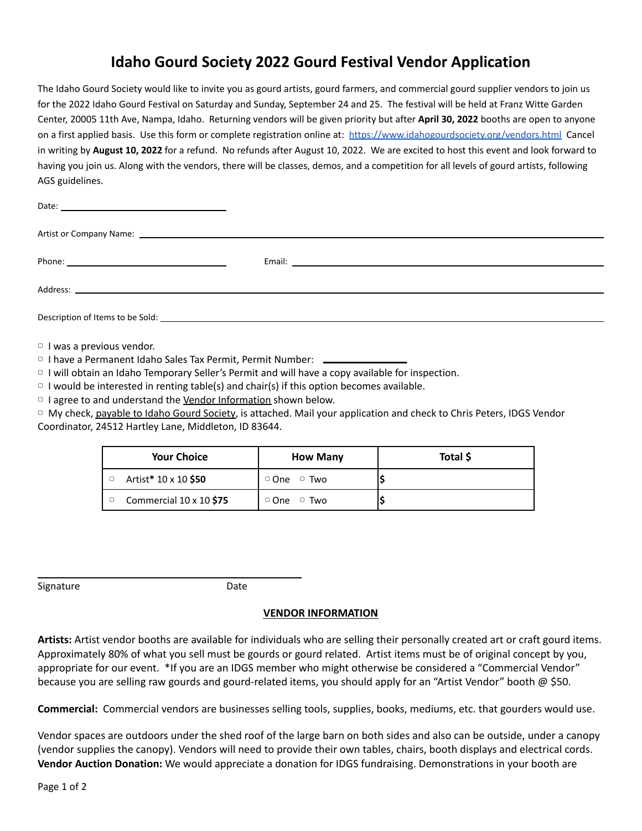## **Idaho Gourd Society 2022 Gourd Festival Vendor Application**

The Idaho Gourd Society would like to invite you as gourd artists, gourd farmers, and commercial gourd supplier vendors to join us for the 2022 Idaho Gourd Festival on Saturday and Sunday, September 24 and 25. The festival will be held at Franz Witte Garden Center, 20005 11th Ave, Nampa, Idaho. Returning vendors will be given priority but after **April 30, 2022** booths are open to anyone on a first applied basis. Use this form or complete registration online at: <https://www.idahogourdsociety.org/vendors.html> Cancel in writing by **August 10, 2022** for a refund. No refunds after August 10, 2022. We are excited to host this event and look forward to having you join us. Along with the vendors, there will be classes, demos, and a competition for all levels of gourd artists, following AGS guidelines.

▢ I was a previous vendor.

▢ I have a Permanent Idaho Sales Tax Permit, Permit Number:

▢ I will obtain an Idaho Temporary Seller's Permit and will have a copy available for inspection.

 $\circ$  I would be interested in renting table(s) and chair(s) if this option becomes available.

□ I agree to and understand the Vendor Information shown below.

▢ My check, payable to Idaho Gourd Society, is attached. Mail your application and check to Chris Peters, IDGS Vendor Coordinator, 24512 Hartley Lane, Middleton, ID 83644.

| <b>Your Choice</b>      | <b>How Many</b>         | Total \$ |
|-------------------------|-------------------------|----------|
| Artist* 10 x 10 \$50    | $\circ$ One $\circ$ Two |          |
| Commercial 10 x 10 \$75 | $\circ$ One $\circ$ Two |          |

Signature Date

## **VENDOR INFORMATION**

**Artists:** Artist vendor booths are available for individuals who are selling their personally created art or craft gourd items. Approximately 80% of what you sell must be gourds or gourd related. Artist items must be of original concept by you, appropriate for our event. \*If you are an IDGS member who might otherwise be considered a "Commercial Vendor" because you are selling raw gourds and gourd-related items, you should apply for an "Artist Vendor" booth @ \$50.

**Commercial:** Commercial vendors are businesses selling tools, supplies, books, mediums, etc. that gourders would use.

Vendor spaces are outdoors under the shed roof of the large barn on both sides and also can be outside, under a canopy (vendor supplies the canopy). Vendors will need to provide their own tables, chairs, booth displays and electrical cords. **Vendor Auction Donation:** We would appreciate a donation for IDGS fundraising. Demonstrations in your booth are